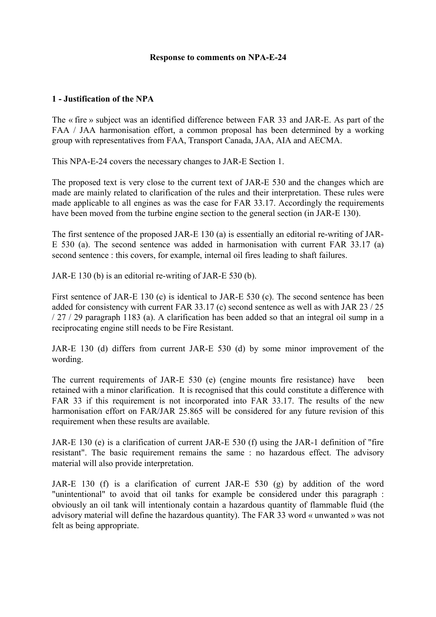#### **Response to comments on NPA-E-24**

### **1 - Justification of the NPA**

The « fire » subject was an identified difference between FAR 33 and JAR-E. As part of the FAA / JAA harmonisation effort, a common proposal has been determined by a working group with representatives from FAA, Transport Canada, JAA, AIA and AECMA.

This NPA-E-24 covers the necessary changes to JAR-E Section 1.

The proposed text is very close to the current text of JAR-E 530 and the changes which are made are mainly related to clarification of the rules and their interpretation. These rules were made applicable to all engines as was the case for FAR 33.17. Accordingly the requirements have been moved from the turbine engine section to the general section (in JAR-E 130).

The first sentence of the proposed JAR-E 130 (a) is essentially an editorial re-writing of JAR-E 530 (a). The second sentence was added in harmonisation with current FAR 33.17 (a) second sentence : this covers, for example, internal oil fires leading to shaft failures.

JAR-E 130 (b) is an editorial re-writing of JAR-E 530 (b).

First sentence of JAR-E 130 (c) is identical to JAR-E 530 (c). The second sentence has been added for consistency with current FAR 33.17 (c) second sentence as well as with JAR 23 / 25 / 27 / 29 paragraph 1183 (a). A clarification has been added so that an integral oil sump in a reciprocating engine still needs to be Fire Resistant.

JAR-E 130 (d) differs from current JAR-E 530 (d) by some minor improvement of the wording.

The current requirements of JAR-E 530 (e) (engine mounts fire resistance) have been retained with a minor clarification. It is recognised that this could constitute a difference with FAR 33 if this requirement is not incorporated into FAR 33.17. The results of the new harmonisation effort on FAR/JAR 25.865 will be considered for any future revision of this requirement when these results are available.

JAR-E 130 (e) is a clarification of current JAR-E 530 (f) using the JAR-1 definition of "fire resistant". The basic requirement remains the same : no hazardous effect. The advisory material will also provide interpretation.

JAR-E 130 (f) is a clarification of current JAR-E 530 (g) by addition of the word "unintentional" to avoid that oil tanks for example be considered under this paragraph : obviously an oil tank will intentionaly contain a hazardous quantity of flammable fluid (the advisory material will define the hazardous quantity). The FAR 33 word « unwanted » was not felt as being appropriate.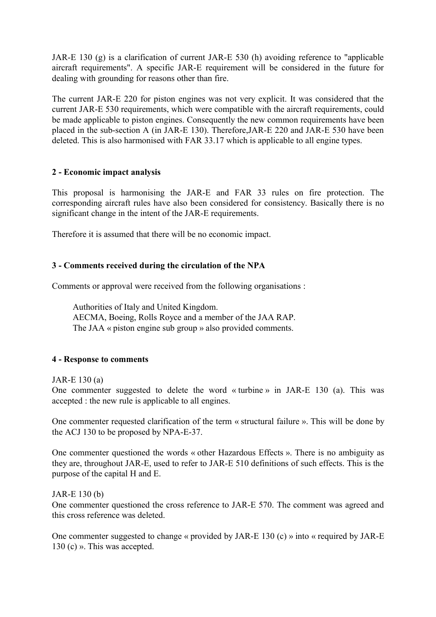JAR-E 130 (g) is a clarification of current JAR-E 530 (h) avoiding reference to "applicable aircraft requirements". A specific JAR-E requirement will be considered in the future for dealing with grounding for reasons other than fire.

The current JAR-E 220 for piston engines was not very explicit. It was considered that the current JAR-E 530 requirements, which were compatible with the aircraft requirements, could be made applicable to piston engines. Consequently the new common requirements have been placed in the sub-section A (in JAR-E 130). Therefore,JAR-E 220 and JAR-E 530 have been deleted. This is also harmonised with FAR 33.17 which is applicable to all engine types.

# **2 - Economic impact analysis**

This proposal is harmonising the JAR-E and FAR 33 rules on fire protection. The corresponding aircraft rules have also been considered for consistency. Basically there is no significant change in the intent of the JAR-E requirements.

Therefore it is assumed that there will be no economic impact.

## **3 - Comments received during the circulation of the NPA**

Comments or approval were received from the following organisations :

Authorities of Italy and United Kingdom. AECMA, Boeing, Rolls Royce and a member of the JAA RAP. The JAA « piston engine sub group » also provided comments.

### **4 - Response to comments**

### JAR-E 130 (a)

One commenter suggested to delete the word « turbine » in JAR-E 130 (a). This was accepted : the new rule is applicable to all engines.

One commenter requested clarification of the term « structural failure ». This will be done by the ACJ 130 to be proposed by NPA-E-37.

One commenter questioned the words « other Hazardous Effects ». There is no ambiguity as they are, throughout JAR-E, used to refer to JAR-E 510 definitions of such effects. This is the purpose of the capital H and E.

# JAR-E 130 (b)

One commenter questioned the cross reference to JAR-E 570. The comment was agreed and this cross reference was deleted.

One commenter suggested to change « provided by JAR-E 130 (c) » into « required by JAR-E 130 (c) ». This was accepted.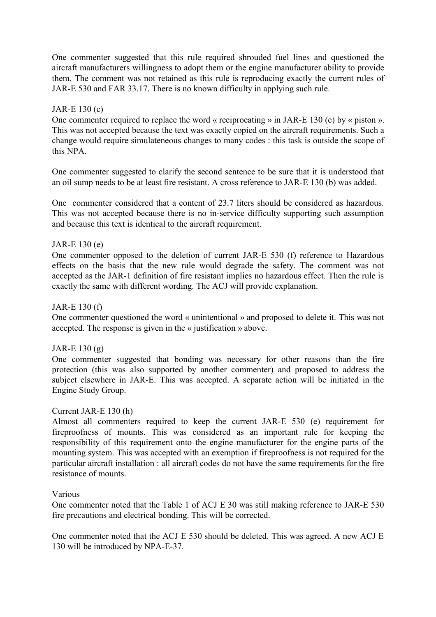One commenter suggested that this rule required shrouded fuel lines and questioned the aircraft manufacturers willingness to adopt them or the engine manufacturer ability to provide them. The comment was not retained as this rule is reproducing exactly the current rules of JAR-E 530 and FAR 33.17. There is no known difficulty in applying such rule.

## JAR-E 130 (c)

One commenter required to replace the word « reciprocating » in JAR-E 130 (c) by « piston ». This was not accepted because the text was exactly copied on the aircraft requirements. Such a change would require simulateneous changes to many codes : this task is outside the scope of this NPA.

One commenter suggested to clarify the second sentence to be sure that it is understood that an oil sump needs to be at least fire resistant. A cross reference to JAR-E 130 (b) was added.

One commenter considered that a content of 23.7 liters should be considered as hazardous. This was not accepted because there is no in-service difficulty supporting such assumption and because this text is identical to the aircraft requirement.

## JAR-E 130 (e)

One commenter opposed to the deletion of current JAR-E 530 (f) reference to Hazardous effects on the basis that the new rule would degrade the safety. The comment was not accepted as the JAR-1 definition of fire resistant implies no hazardous effect. Then the rule is exactly the same with different wording. The ACJ will provide explanation.

### JAR-E 130 (f)

One commenter questioned the word « unintentional » and proposed to delete it. This was not accepted. The response is given in the « justification » above.

### JAR-E 130 (g)

One commenter suggested that bonding was necessary for other reasons than the fire protection (this was also supported by another commenter) and proposed to address the subject elsewhere in JAR-E. This was accepted. A separate action will be initiated in the Engine Study Group.

### Current JAR-E 130 (h)

Almost all commenters required to keep the current JAR-E 530 (e) requirement for fireproofness of mounts. This was considered as an important rule for keeping the responsibility of this requirement onto the engine manufacturer for the engine parts of the mounting system. This was accepted with an exemption if fireproofness is not required for the particular aircraft installation : all aircraft codes do not have the same requirements for the fire resistance of mounts.

### Various

One commenter noted that the Table 1 of ACJ E 30 was still making reference to JAR-E 530 fire precautions and electrical bonding. This will be corrected.

One commenter noted that the ACJ E 530 should be deleted. This was agreed. A new ACJ E 130 will be introduced by NPA-E-37.